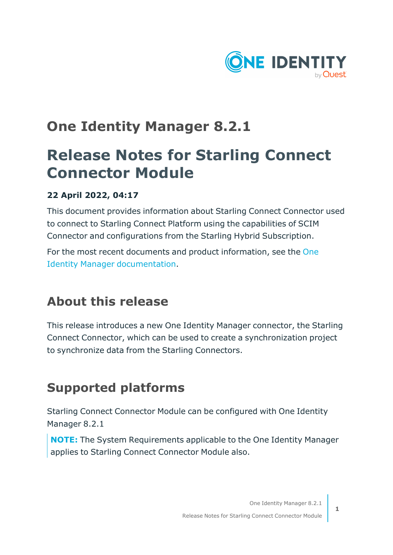

## **One Identity Manager 8.2.1**

# **Release Notes for Starling Connect Connector Module**

### **22 April 2022, 04:17**

This document provides information about Starling Connect Connector used to connect to Starling Connect Platform using the capabilities of SCIM Connector and configurations from the Starling Hybrid Subscription.

For the most recent documents and product information, see the [One](https://support.oneidentity.com/identity-manager/8.1.5/technical-documents) Identity Manager [documentation.](https://support.oneidentity.com/identity-manager/8.1.5/technical-documents)

### **About this release**

This release introduces a new One Identity Manager connector, the Starling Connect Connector, which can be used to create a synchronization project to synchronize data from the Starling Connectors.

## **Supported platforms**

Starling Connect Connector Module can be configured with One Identity Manager 8.2.1

**NOTE:** The System Requirements applicable to the One Identity Manager applies to Starling Connect Connector Module also.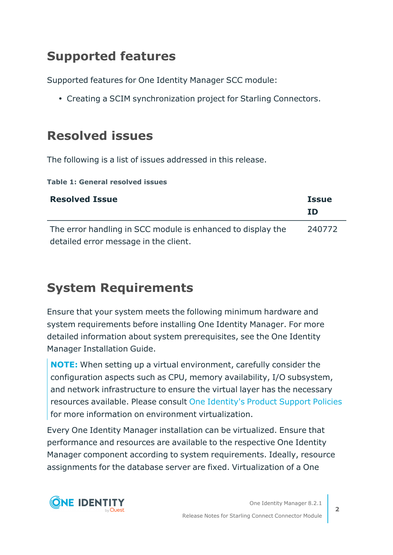## **Supported features**

Supported features for One Identity Manager SCC module:

• Creating a SCIM synchronization project for Starling Connectors.

## **Resolved issues**

The following is a list of issues addressed in this release.

**Table 1: General resolved issues**

| <b>Resolved Issue</b>                                       | <b>Issue</b><br>TD |
|-------------------------------------------------------------|--------------------|
| The error handling in SCC module is enhanced to display the | 240772             |
| detailed error message in the client.                       |                    |

## **System Requirements**

Ensure that your system meets the following minimum hardware and system requirements before installing One Identity Manager. For more detailed information about system prerequisites, see the One Identity Manager Installation Guide.

**NOTE:** When setting up a virtual environment, carefully consider the configuration aspects such as CPU, memory availability, I/O subsystem, and network infrastructure to ensure the virtual layer has the necessary resources available. Please consult One [Identity's](https://support.oneidentity.com/essentials/support-guide#tab3) Product Support Policies for more information on environment virtualization.

Every One Identity Manager installation can be virtualized. Ensure that performance and resources are available to the respective One Identity Manager component according to system requirements. Ideally, resource assignments for the database server are fixed. Virtualization of a One

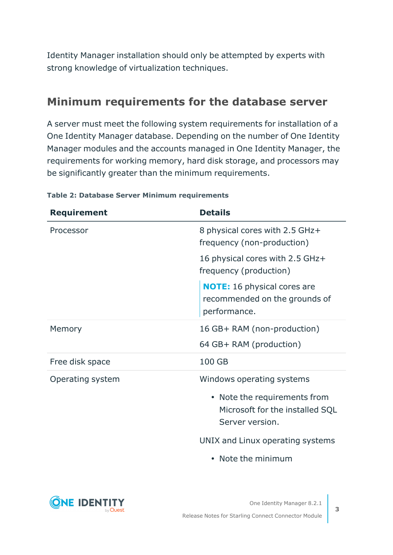Identity Manager installation should only be attempted by experts with strong knowledge of virtualization techniques.

### **Minimum requirements for the database server**

A server must meet the following system requirements for installation of a One Identity Manager database. Depending on the number of One Identity Manager modules and the accounts managed in One Identity Manager, the requirements for working memory, hard disk storage, and processors may be significantly greater than the minimum requirements.

| <b>Requirement</b> | <b>Details</b>                                                                      |
|--------------------|-------------------------------------------------------------------------------------|
| Processor          | 8 physical cores with 2.5 GHz+<br>frequency (non-production)                        |
|                    | 16 physical cores with 2.5 GHz+<br>frequency (production)                           |
|                    | <b>NOTE:</b> 16 physical cores are<br>recommended on the grounds of<br>performance. |
| Memory             | 16 GB+ RAM (non-production)                                                         |
|                    | 64 GB+ RAM (production)                                                             |
| Free disk space    | 100 GB                                                                              |
| Operating system   | Windows operating systems                                                           |
|                    | • Note the requirements from<br>Microsoft for the installed SQL<br>Server version.  |
|                    | UNIX and Linux operating systems                                                    |
|                    | • Note the minimum                                                                  |

#### **Table 2: Database Server Minimum requirements**

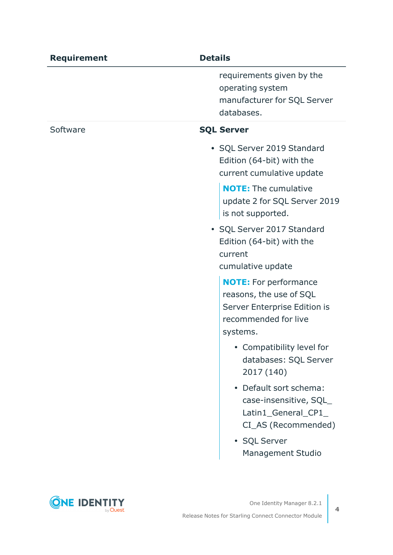| <b>Requirement</b> | <b>Details</b>                                                                                                              |
|--------------------|-----------------------------------------------------------------------------------------------------------------------------|
|                    | requirements given by the<br>operating system<br>manufacturer for SQL Server<br>databases.                                  |
| Software           | <b>SQL Server</b>                                                                                                           |
|                    | • SQL Server 2019 Standard<br>Edition (64-bit) with the<br>current cumulative update                                        |
|                    | <b>NOTE:</b> The cumulative<br>update 2 for SQL Server 2019<br>is not supported.                                            |
|                    | • SQL Server 2017 Standard<br>Edition (64-bit) with the<br>current                                                          |
|                    | cumulative update                                                                                                           |
|                    | <b>NOTE:</b> For performance<br>reasons, the use of SQL<br>Server Enterprise Edition is<br>recommended for live<br>systems. |
|                    | • Compatibility level for<br>databases: SQL Server<br>2017 (140)                                                            |
|                    | • Default sort schema:<br>case-insensitive, SQL<br>Latin1_General_CP1_<br>CI_AS (Recommended)                               |
|                    | • SQL Server<br><b>Management Studio</b>                                                                                    |

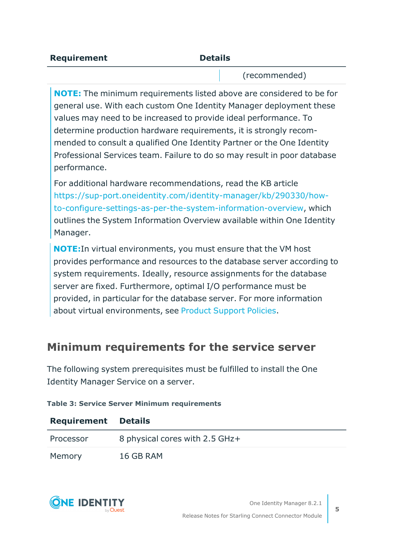| L<br>M.<br>٩ |
|--------------|
|--------------|

**Requirement** 

(recommended)

**NOTE:** The minimum requirements listed above are considered to be for general use. With each custom One Identity Manager deployment these values may need to be increased to provide ideal performance. To determine production hardware requirements, it is strongly recommended to consult a qualified One Identity Partner or the One Identity Professional Services team. Failure to do so may result in poor database performance.

For additional hardware recommendations, read the KB article [https://sup-port.oneidentity.com/identity-manager/kb/290330/how](https://sup-port.oneidentity.com/identity-manager/kb/290330/how-to-configure-settings-as-per-the-system-information-overview)[to-configure-settings-as-per-the-system-information-overview,](https://sup-port.oneidentity.com/identity-manager/kb/290330/how-to-configure-settings-as-per-the-system-information-overview) which outlines the System Information Overview available within One Identity Manager.

**NOTE:**In virtual environments, you must ensure that the VM host provides performance and resources to the database server according to system requirements. Ideally, resource assignments for the database server are fixed. Furthermore, optimal I/O performance must be provided, in particular for the database server. For more information about virtual environments, see Product [Support](https://support.oneidentity.com/essentials/support-guide) Policies.

### **Minimum requirements for the service server**

The following system prerequisites must be fulfilled to install the One Identity Manager Service on a server.

| <b>Requirement Details</b> |                                |
|----------------------------|--------------------------------|
| Processor                  | 8 physical cores with 2.5 GHz+ |
| Memory                     | 16 GB RAM                      |

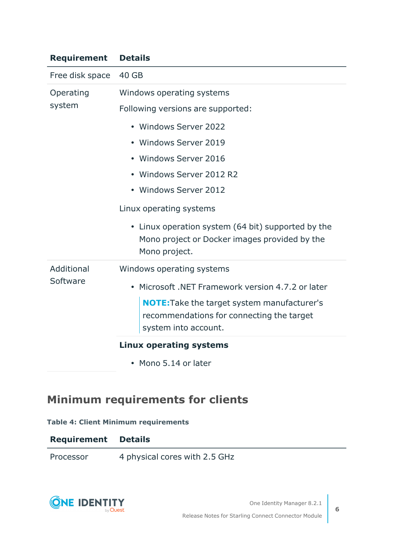| <b>Requirement</b>     | <b>Details</b>                                                                                                       |
|------------------------|----------------------------------------------------------------------------------------------------------------------|
| Free disk space        | 40 GB                                                                                                                |
| Operating<br>system    | Windows operating systems                                                                                            |
|                        | Following versions are supported:                                                                                    |
|                        | • Windows Server 2022                                                                                                |
|                        | • Windows Server 2019                                                                                                |
|                        | • Windows Server 2016                                                                                                |
|                        | • Windows Server 2012 R2                                                                                             |
|                        | • Windows Server 2012                                                                                                |
|                        | Linux operating systems                                                                                              |
|                        | • Linux operation system (64 bit) supported by the<br>Mono project or Docker images provided by the<br>Mono project. |
| Additional<br>Software | Windows operating systems                                                                                            |
|                        | Microsoft .NET Framework version 4.7.2 or later                                                                      |
|                        | NOTE: Take the target system manufacturer's<br>recommendations for connecting the target<br>system into account.     |
|                        | <b>Linux operating systems</b>                                                                                       |
|                        | • Mono 5.14 or later                                                                                                 |

### **Minimum requirements for clients**

#### **Table 4: Client Minimum requirements**

| <b>Requirement Details</b> |                               |
|----------------------------|-------------------------------|
| Processor                  | 4 physical cores with 2.5 GHz |

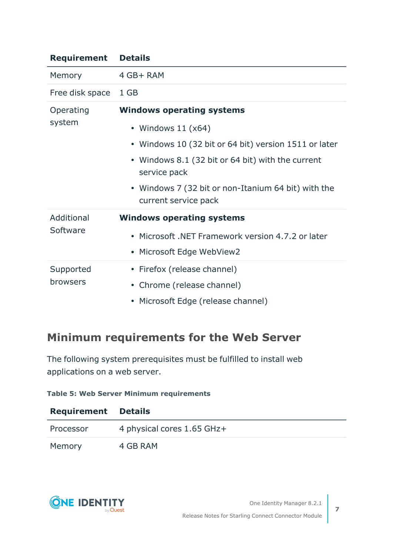| <b>Requirement</b>     | <b>Details</b>                                                                                                                                                                                                                                                        |
|------------------------|-----------------------------------------------------------------------------------------------------------------------------------------------------------------------------------------------------------------------------------------------------------------------|
| Memory                 | 4 GB+ RAM                                                                                                                                                                                                                                                             |
| Free disk space        | 1 GB                                                                                                                                                                                                                                                                  |
| Operating<br>system    | <b>Windows operating systems</b><br>• Windows $11 (x64)$<br>• Windows 10 (32 bit or 64 bit) version 1511 or later<br>• Windows 8.1 (32 bit or 64 bit) with the current<br>service pack<br>• Windows 7 (32 bit or non-Itanium 64 bit) with the<br>current service pack |
| Additional<br>Software | <b>Windows operating systems</b><br>• Microsoft .NET Framework version 4.7.2 or later<br>• Microsoft Edge WebView2                                                                                                                                                    |
| Supported<br>browsers  | • Firefox (release channel)<br>• Chrome (release channel)<br>• Microsoft Edge (release channel)                                                                                                                                                                       |

### **Minimum requirements for the Web Server**

The following system prerequisites must be fulfilled to install web applications on a web server.

#### **Table 5: Web Server Minimum requirements**

| <b>Requirement Details</b> |                            |
|----------------------------|----------------------------|
| Processor                  | 4 physical cores 1.65 GHz+ |
| Memory                     | 4 GB RAM                   |

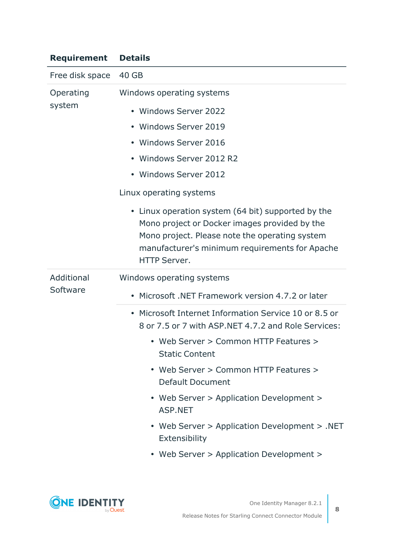### **Requirement Details**

| Free disk space        | 40 GB                                                                                                                                                                                                                          |
|------------------------|--------------------------------------------------------------------------------------------------------------------------------------------------------------------------------------------------------------------------------|
| Operating<br>system    | Windows operating systems                                                                                                                                                                                                      |
|                        | • Windows Server 2022                                                                                                                                                                                                          |
|                        | • Windows Server 2019                                                                                                                                                                                                          |
|                        | • Windows Server 2016                                                                                                                                                                                                          |
|                        | • Windows Server 2012 R2                                                                                                                                                                                                       |
|                        | • Windows Server 2012                                                                                                                                                                                                          |
|                        | Linux operating systems                                                                                                                                                                                                        |
|                        | • Linux operation system (64 bit) supported by the<br>Mono project or Docker images provided by the<br>Mono project. Please note the operating system<br>manufacturer's minimum requirements for Apache<br><b>HTTP Server.</b> |
| Additional<br>Software | Windows operating systems                                                                                                                                                                                                      |
|                        | • Microsoft .NET Framework version 4.7.2 or later                                                                                                                                                                              |
|                        | • Microsoft Internet Information Service 10 or 8.5 or<br>8 or 7.5 or 7 with ASP.NET 4.7.2 and Role Services:                                                                                                                   |
|                        | • Web Server > Common HTTP Features ><br><b>Static Content</b>                                                                                                                                                                 |
|                        | Web Server > Common HTTP Features ><br><b>Default Document</b>                                                                                                                                                                 |
|                        | • Web Server > Application Development ><br><b>ASP.NET</b>                                                                                                                                                                     |
|                        | • Web Server > Application Development > .NET<br>Extensibility                                                                                                                                                                 |
|                        | • Web Server > Application Development >                                                                                                                                                                                       |

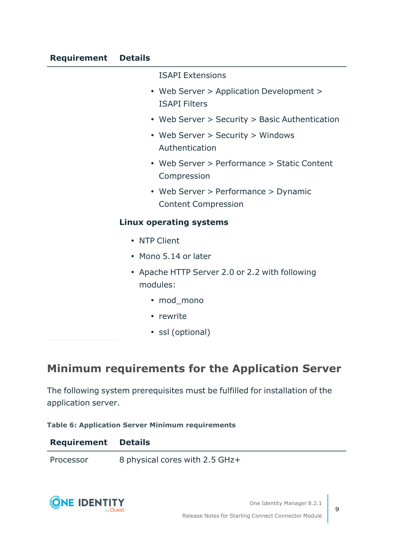#### ISAPI Extensions

- Web Server > Application Development > ISAPI Filters
- Web Server > Security > Basic Authentication
- Web Server > Security > Windows Authentication
- Web Server > Performance > Static Content Compression
- Web Server > Performance > Dynamic Content Compression

#### **Linux operating systems**

- NTP Client
- Mono 5.14 or later
- Apache HTTP Server 2.0 or 2.2 with following modules:
	- mod\_mono
	- rewrite
	- ssl (optional)

### **Minimum requirements for the Application Server**

The following system prerequisites must be fulfilled for installation of the application server.

**Table 6: Application Server Minimum requirements**

| <b>Requirement Details</b> |                                |
|----------------------------|--------------------------------|
| Processor                  | 8 physical cores with 2.5 GHz+ |

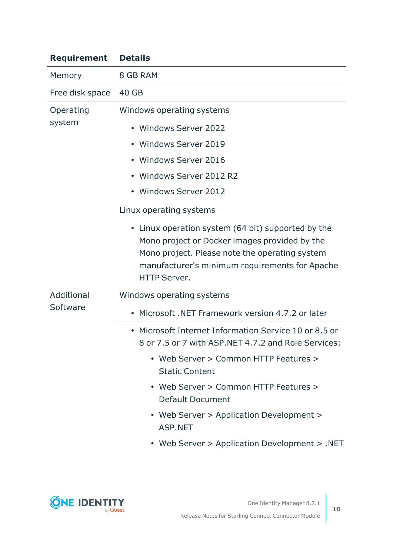| <b>Requirement</b>     | <b>Details</b>                                                                                                                                                                                                                                                                                                                                                                                                                                      |
|------------------------|-----------------------------------------------------------------------------------------------------------------------------------------------------------------------------------------------------------------------------------------------------------------------------------------------------------------------------------------------------------------------------------------------------------------------------------------------------|
| Memory                 | 8 GB RAM                                                                                                                                                                                                                                                                                                                                                                                                                                            |
| Free disk space        | 40 GB                                                                                                                                                                                                                                                                                                                                                                                                                                               |
| Operating<br>system    | Windows operating systems<br>• Windows Server 2022<br>• Windows Server 2019<br>• Windows Server 2016<br>• Windows Server 2012 R2<br>• Windows Server 2012<br>Linux operating systems<br>• Linux operation system (64 bit) supported by the<br>Mono project or Docker images provided by the<br>Mono project. Please note the operating system<br>manufacturer's minimum requirements for Apache<br><b>HTTP Server.</b>                              |
| Additional<br>Software | Windows operating systems<br>• Microsoft .NET Framework version 4.7.2 or later<br>• Microsoft Internet Information Service 10 or 8.5 or<br>8 or 7.5 or 7 with ASP.NET 4.7.2 and Role Services:<br>• Web Server > Common HTTP Features ><br><b>Static Content</b><br>• Web Server > Common HTTP Features ><br><b>Default Document</b><br>• Web Server > Application Development ><br><b>ASP.NET</b><br>• Web Server > Application Development > .NET |

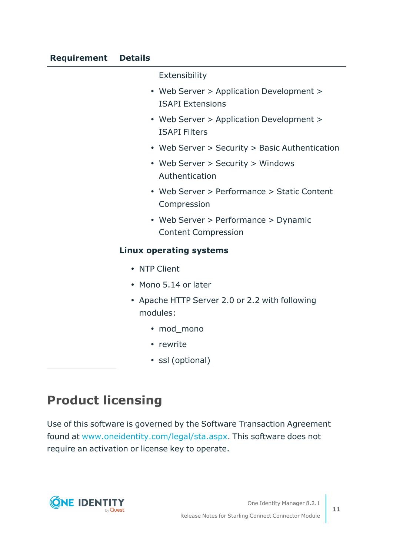Extensibility • Web Server > Application Development > ISAPI Extensions • Web Server > Application Development > ISAPI Filters • Web Server > Security > Basic Authentication • Web Server > Security > Windows Authentication • Web Server > Performance > Static Content Compression • Web Server > Performance > Dynamic Content Compression **Linux operating systems** • NTP Client • Mono 5.14 or later • Apache HTTP Server 2.0 or 2.2 with following modules: • mod\_mono • rewrite • ssl (optional)

## **Product licensing**

Use of this software is governed by the Software Transaction Agreement found at [www.oneidentity.com/legal/sta.aspx.](http://www.oneidentity.com/legal/sta.aspx) This software does not require an activation or license key to operate.

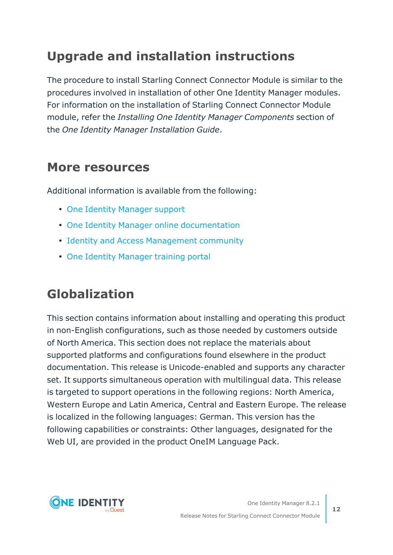## **Upgrade and installation instructions**

The procedure to install Starling Connect Connector Module is similar to the procedures involved in installation of other One Identity Manager modules. For information on the installation of Starling Connect Connector Module module, refer the *Installing One Identity Manager Components* section of the *One Identity Manager Installation Guide*.

### **More resources**

Additional information is available from the following:

- One Identity [Manager](https://support.oneidentity.com/identity-manager/) support
- One Identity Manager online [documentation](https://support.oneidentity.com/identity-manager/technical-documents/)
- Identity and Access [Management](https://www.quest.com/community/one-identity/identity-manager/f/identity-manager-forum) community
- One Identity [Manager](https://support.oneidentity.com/identity-manager/training) training portal

### **Globalization**

This section contains information about installing and operating this product in non-English configurations, such as those needed by customers outside of North America. This section does not replace the materials about supported platforms and configurations found elsewhere in the product documentation. This release is Unicode-enabled and supports any character set. It supports simultaneous operation with multilingual data. This release is targeted to support operations in the following regions: North America, Western Europe and Latin America, Central and Eastern Europe. The release is localized in the following languages: German. This version has the following capabilities or constraints: Other languages, designated for the Web UI, are provided in the product OneIM Language Pack.

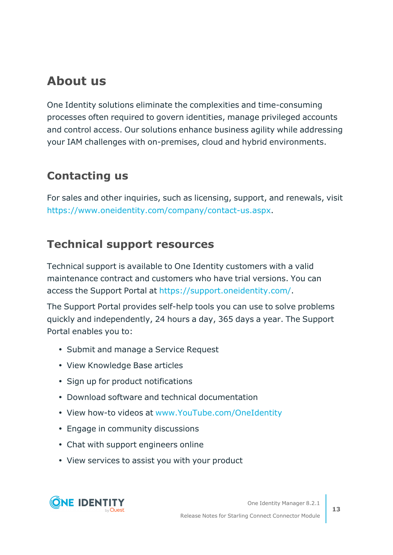### **About us**

One Identity solutions eliminate the complexities and time-consuming processes often required to govern identities, manage privileged accounts and control access. Our solutions enhance business agility while addressing your IAM challenges with on-premises, cloud and hybrid environments.

### **Contacting us**

For sales and other inquiries, such as licensing, support, and renewals, visit <https://www.oneidentity.com/company/contact-us.aspx>.

### **Technical support resources**

Technical support is available to One Identity customers with a valid maintenance contract and customers who have trial versions. You can access the Support Portal at <https://support.oneidentity.com/>.

The Support Portal provides self-help tools you can use to solve problems quickly and independently, 24 hours a day, 365 days a year. The Support Portal enables you to:

- Submit and manage a Service Request
- View Knowledge Base articles
- Sign up for product notifications
- Download software and technical documentation
- View how-to videos at [www.YouTube.com/OneIdentity](http://www.youtube.com/OneIdentity)
- Engage in community discussions
- Chat with support engineers online
- View services to assist you with your product

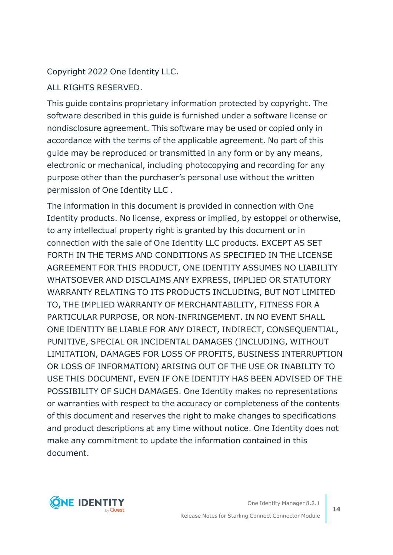### Copyright 2022 One Identity LLC.

ALL RIGHTS RESERVED.

This guide contains proprietary information protected by copyright. The software described in this guide is furnished under a software license or nondisclosure agreement. This software may be used or copied only in accordance with the terms of the applicable agreement. No part of this guide may be reproduced or transmitted in any form or by any means, electronic or mechanical, including photocopying and recording for any purpose other than the purchaser's personal use without the written permission of One Identity LLC .

The information in this document is provided in connection with One Identity products. No license, express or implied, by estoppel or otherwise, to any intellectual property right is granted by this document or in connection with the sale of One Identity LLC products. EXCEPT AS SET FORTH IN THE TERMS AND CONDITIONS AS SPECIFIED IN THE LICENSE AGREEMENT FOR THIS PRODUCT, ONE IDENTITY ASSUMES NO LIABILITY WHATSOEVER AND DISCLAIMS ANY EXPRESS, IMPLIED OR STATUTORY WARRANTY RELATING TO ITS PRODUCTS INCLUDING, BUT NOT LIMITED TO, THE IMPLIED WARRANTY OF MERCHANTABILITY, FITNESS FOR A PARTICULAR PURPOSE, OR NON-INFRINGEMENT. IN NO EVENT SHALL ONE IDENTITY BE LIABLE FOR ANY DIRECT, INDIRECT, CONSEQUENTIAL, PUNITIVE, SPECIAL OR INCIDENTAL DAMAGES (INCLUDING, WITHOUT LIMITATION, DAMAGES FOR LOSS OF PROFITS, BUSINESS INTERRUPTION OR LOSS OF INFORMATION) ARISING OUT OF THE USE OR INABILITY TO USE THIS DOCUMENT, EVEN IF ONE IDENTITY HAS BEEN ADVISED OF THE POSSIBILITY OF SUCH DAMAGES. One Identity makes no representations or warranties with respect to the accuracy or completeness of the contents of this document and reserves the right to make changes to specifications and product descriptions at any time without notice. One Identity does not make any commitment to update the information contained in this document.